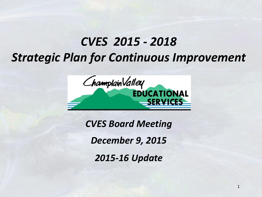# *CVES 2015 - 2018 Strategic Plan for Continuous Improvement*



*CVES Board Meeting* 

*December 9, 2015* 

*2015-16 Update*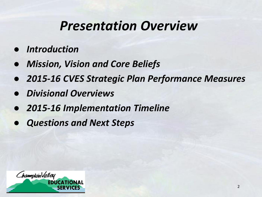# *Presentation Overview*

- *● Introduction*
- *● Mission, Vision and Core Beliefs*
- *● 2015-16 CVES Strategic Plan Performance Measures*
- *● Divisional Overviews*
- *● 2015-16 Implementation Timeline*
- *● Questions and Next Steps*

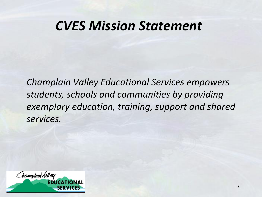# *CVES Mission Statement*

*Champlain Valley Educational Services empowers students, schools and communities by providing exemplary education, training, support and shared services.*

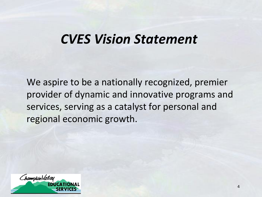# *CVES Vision Statement*

We aspire to be a nationally recognized, premier provider of dynamic and innovative programs and services, serving as a catalyst for personal and regional economic growth.

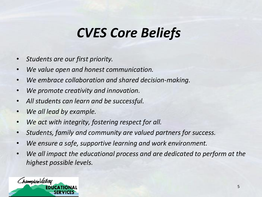# *CVES Core Beliefs*

- *Students are our first priority.*
- *We value open and honest communication.*
- *We embrace collaboration and shared decision-making.*
- *We promote creativity and innovation.*
- *All students can learn and be successful.*
- *We all lead by example.*
- *We act with integrity, fostering respect for all.*
- *Students, family and community are valued partners for success.*
- *We ensure a safe, supportive learning and work environment.*
- *We all impact the educational process and are dedicated to perform at the highest possible levels.*

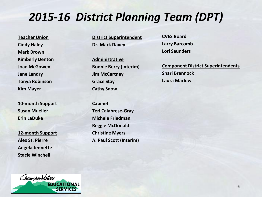# *2015-16 District Planning Team (DPT)*

**Teacher Union Cindy Haley Mark Brown Kimberly Denton Joan McGowen Jane Landry Tonya Robinson Kim Mayer**

**10-month Support Susan Mueller Erin LaDuke**

**12-month Support Alex St. Pierre Angela Jennette Stacie Winchell**

**District Superintendent Dr. Mark Davey**

**Administrative Bonnie Berry (Interim) Jim McCartney Grace Stay Cathy Snow** 

**Cabinet Teri Calabrese-Gray Michele Friedman Reggie McDonald Christine Myers A. Paul Scott (Interim)** **CVES Board Larry Barcomb Lori Saunders**

**Component District Superintendents Shari Brannock Laura Marlow**

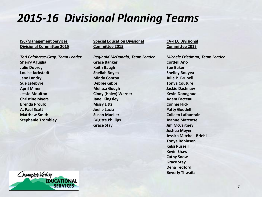# *2015-16 Divisional Planning Teams*

#### **ISC/Management Services Divisional Committee 2015**

*Teri Calabrese-Gray, Team Leader* **Sherry Aguglia Julie Duprey Louise Jackstadt Jane Landry Sue Lefebvre April Miner Jessie Moulton Christine Myers Brenda Proulx A. Paul Scott Matthew Smith Stephanie Trombley**

**Special Education Divisional Committee 2015**

*Reginald McDonald, Team Leader* **Grace Banker Keith Baugh Sheilah Boyea Mindy Conroy Debbie Gibbs Melissa Gough Cindy (Haley) Werner Janel Kingsley Missy Litts Joelle Lucia Susan Mueller Brigitte Phillips Grace Stay**

**CV-TEC Divisional Committee 2015**

*Michele Friedman, Team Leader* **Cordell Ano Sue Baker Shelley Bouyea Julie P. Brunell Tonya Couture Jackie Dashnaw Kevin Donoghue Adam Facteau Connie Flick Patty Goodell Colleen Lafountain Joanne Mazzotte Jim McCartney Joshua Meyer Jessica Mitchell-Briehl Tonya Robinson Kelsi Russell Kevin Shaw Cathy Snow Grace Stay Dena Tedford Beverly Thwaits**

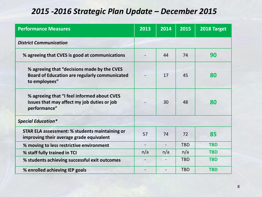#### *2015 -2016 Strategic Plan Update – December 2015*

| <b>Performance Measures</b>                                                                                          | 2013                     | 2014 | 2015       | 2018 Target |
|----------------------------------------------------------------------------------------------------------------------|--------------------------|------|------------|-------------|
| <b>District Communication</b>                                                                                        |                          |      |            |             |
| % agreeing that CVES is good at communications                                                                       |                          | 44   | 74         | 90          |
| % agreeing that "decisions made by the CVES<br><b>Board of Education are regularly communicated</b><br>to employees" |                          | 17   | 45         | 80          |
| % agreeing that "I feel informed about CVES<br>issues that may affect my job duties or job<br>performance"           |                          | 30   | 48         | 80          |
| <b>Special Education*</b>                                                                                            |                          |      |            |             |
| <b>STAR ELA assessment: % students maintaining or</b><br>improving their average grade equivalent                    | 57                       | 74   | 72         | 85          |
| % moving to less restrictive environment                                                                             | $\overline{\phantom{a}}$ |      | <b>TBD</b> | <b>TBD</b>  |
| % staff fully trained in TCI                                                                                         | n/a                      | n/a  | n/a        | <b>TBD</b>  |
| % students achieving successful exit outcomes                                                                        |                          |      | <b>TBD</b> | <b>TBD</b>  |
| % enrolled achieving IEP goals                                                                                       |                          |      | <b>TBD</b> | <b>TBD</b>  |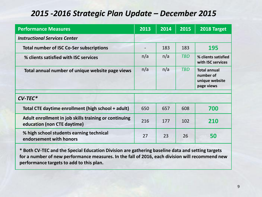#### *2015 -2016 Strategic Plan Update – December 2015*

| <b>Performance Measures</b>                                                          | 2013 | 2014 | 2015       | 2018 Target                                                      |
|--------------------------------------------------------------------------------------|------|------|------------|------------------------------------------------------------------|
| <b>Instructional Services Center</b>                                                 |      |      |            |                                                                  |
| <b>Total number of ISC Co-Ser subscriptions</b>                                      |      | 183  | 183        | 195                                                              |
| % clients satisfied with ISC services                                                | n/a  | n/a  | <b>TBD</b> | % clients satisfied<br>with ISC services                         |
| Total annual number of unique website page views                                     | n/a  | n/a  | <b>TBD</b> | <b>Total annual</b><br>number of<br>unique website<br>page views |
| $CV-TEC*$                                                                            |      |      |            |                                                                  |
| Total CTE daytime enrollment (high school + adult)                                   | 650  | 657  | 608        | 700                                                              |
| Adult enrollment in job skills training or continuing<br>education (non CTE daytime) | 216  | 177  | 102        | 210                                                              |
| % high school students earning technical<br>endorsement with honors                  | 27   | 23   | 26         | 50                                                               |

**\* Both CV-TEC and the Special Education Division are gathering baseline data and setting targets for a number of new performance measures. In the fall of 2016, each division will recommend new performance targets to add to this plan.**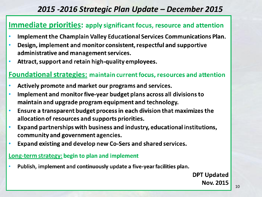#### *2015 -2016 Strategic Plan Update – December 2015*

#### **Immediate priorities: apply significant focus, resource and attention**

- Implement the Champlain Valley Educational Services Communications Plan.  $\bullet$
- Design, implement and monitor consistent, respectful and supportive ä administrative and management services.
- Attract, support and retain high-quality employees.  $\bullet$

#### **Foundational strategies:** maintain current focus, resources and attention

- Actively promote and market our programs and services.  $\bullet$
- Implement and monitor five-year budget plans across all divisions to  $\bullet$ maintain and upgrade program equipment and technology.
- Ensure a transparent budget process in each division that maximizes the  $\bullet$ allocation of resources and supports priorities.
- Expand partnerships with business and industry, educational institutions,  $\bullet$ community and government agencies.
- Expand existing and develop new Co-Sers and shared services.  $\bullet$

#### **Long-term strategy: begin to plan and implement**

Publish, implement and continuously update a five-year facilities plan.  $\bullet$ 

> **DPT Updated Nov. 2015**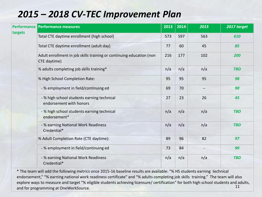## *2015 – 2018 CV-TEC Improvement Plan*

|         | Performance Performance measures                                                     | 2013 | 2014 | 2015 | 2017 target |
|---------|--------------------------------------------------------------------------------------|------|------|------|-------------|
| targets | Total CTE daytime enrollment (high school)                                           | 573  | 597  | 563  | 610         |
|         | Total CTE daytime enrollment (adult day)                                             | 77   | 60   | 45   | 85          |
|         | Adult enrollment in job skills training or continuing education (non<br>CTE daytime) | 216  | 177  | 102  | 200         |
|         | % adults completing job skills training*                                             | n/a  | n/a  | n/a  | <b>TBD</b>  |
|         | % High School Completion Rate:                                                       | 95   | 95   | 95   | 98          |
|         | - % employment in field/continuing ed                                                | 69   | 70   |      | 90          |
|         | - % high school students earning technical<br>endorsement with honors                | 27   | 23   | 26   | 45          |
|         | - % high school students earning technical<br>endorsement*                           | n/a  | n/a  | n/a  | <b>TBD</b>  |
|         | - % earning National Work Readiness<br>Credential*                                   | n/a  | n/a  | n/a  | <b>TBD</b>  |
|         | % Adult Completion Rate (CTE daytime):                                               | 89   | 96   | 82   | 97          |
|         | - % employment in field/continuing ed                                                | 73   | 84   |      | 90          |
|         | - % earning National Work Readiness<br>Credential*                                   | n/a  | n/a  | n/a  | <b>TBD</b>  |

\* The team will add the following metrics once 2015-16 baseline results are available: "% HS students earning technical endorsement," "% earning national work readiness certificate" and "% adults completing job skills training." The team will also explore ways to measure and target "% eligible students achieving licensure/ certification" for both high school students and adults,<br>and for programming at OneWarkSource and for programming at OneWorkSource.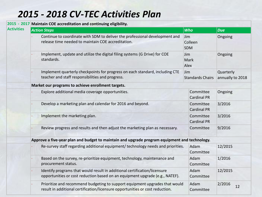## *2015 - 2018 CV-TEC Activities Plan*

|                   | 2015 - 2017 Maintain COE accreditation and continuing eligibility.                                                                                           |                                 |                               |  |  |  |  |
|-------------------|--------------------------------------------------------------------------------------------------------------------------------------------------------------|---------------------------------|-------------------------------|--|--|--|--|
| <b>Activities</b> | <b>Action Steps</b>                                                                                                                                          | <b>Who</b>                      | <b>Due</b>                    |  |  |  |  |
|                   | Continue to coordinate with SDM to deliver the professional development and<br>release time needed to maintain COE accreditation.                            | Jim<br>Colleen<br><b>SDM</b>    | Ongoing                       |  |  |  |  |
|                   | Implement, update and utilize the digital filing systems (G Drive) for COE<br>Jim<br>standards.<br>Mark<br>Alex                                              |                                 | Ongoing                       |  |  |  |  |
|                   | Implement quarterly checkpoints for progress on each standard, including CTE<br>teacher and staff responsibilities and progress.                             | Jim<br><b>Standards Chairs</b>  | Quarterly<br>annually to 2018 |  |  |  |  |
|                   | Market our programs to achieve enrollment targets.                                                                                                           |                                 |                               |  |  |  |  |
|                   | Explore additional media coverage opportunities.                                                                                                             | Committee<br><b>Cardinal PR</b> | Ongoing                       |  |  |  |  |
|                   | Develop a marketing plan and calendar for 2016 and beyond.                                                                                                   | Committee<br><b>Cardinal PR</b> | 3/2016                        |  |  |  |  |
|                   | Implement the marketing plan.                                                                                                                                | Committee<br><b>Cardinal PR</b> | 3/2016                        |  |  |  |  |
|                   | Review progress and results and then adjust the marketing plan as necessary.                                                                                 | Committee                       | 9/2016                        |  |  |  |  |
|                   | Approve a five-year plan and budget to maintain and upgrade program equipment and technology.                                                                |                                 |                               |  |  |  |  |
|                   | Re-survey staff regarding additional equipment/technology needs and priorities.                                                                              | Adam<br>Committee               | 12/2015                       |  |  |  |  |
|                   | Based on the survey, re-prioritize equipment, technology, maintenance and<br>procurement status.                                                             | Adam<br>Committee               | 1/2016                        |  |  |  |  |
|                   | Identify programs that would result in additional certification/licensure<br>opportunities or cost reduction based on an equipment upgrade (e.g., NATEF).    | Adam<br>Committee               | 12/2015                       |  |  |  |  |
|                   | Prioritize and recommend budgeting to support equipment upgrades that would<br>result in additional certification/licensure opportunities or cost reduction. | Adam<br>Committee               | 2/2016<br>12                  |  |  |  |  |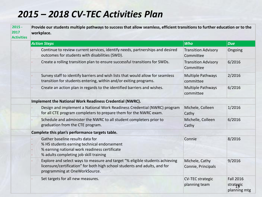### *2015 – 2018 CV-TEC Activities Plan*

| $2015 -$<br>2017<br><b>Activities</b> | Provide our students multiple pathways to success that allow seamless, efficient transitions to further education or to the<br>workplace.                                                   |                                          |                                               |  |  |  |
|---------------------------------------|---------------------------------------------------------------------------------------------------------------------------------------------------------------------------------------------|------------------------------------------|-----------------------------------------------|--|--|--|
|                                       | <b>Action Steps</b>                                                                                                                                                                         | <b>Who</b>                               | <b>Due</b>                                    |  |  |  |
|                                       | Continue to review current services, identify needs, partnerships and desired<br>outcomes for students with disabilities (SWD).                                                             | <b>Transition Advisory</b><br>Committee  | Ongoing                                       |  |  |  |
|                                       | Create a rolling transition plan to ensure successful transitions for SWDs.                                                                                                                 | <b>Transition Advisory</b><br>Committee  | 6/2016                                        |  |  |  |
|                                       | Survey staff to identify barriers and wish lists that would allow for seamless<br>transition for students entering, within and/or exiting programs.                                         | Multiple Pathways<br>committee           | 2/2016                                        |  |  |  |
|                                       | Create an action plan in regards to the identified barriers and wishes.                                                                                                                     | Multiple Pathways<br>committee           | 6/2016                                        |  |  |  |
|                                       | Implement the National Work Readiness Credential (NWRC).                                                                                                                                    |                                          |                                               |  |  |  |
|                                       | Design and implement a National Work Readiness Credential (NWRC) program<br>for all CTE program completers to prepare them for the NWRC exam.                                               | Michele, Colleen<br>Cathy                | 1/2016                                        |  |  |  |
|                                       | Schedule and administer the NWRC to all student completers prior to<br>graduation from the CTE program.                                                                                     | Michelle, Colleen<br>Cathy               | 6/2016                                        |  |  |  |
|                                       | Complete this plan's performance targets table.                                                                                                                                             |                                          |                                               |  |  |  |
|                                       | Gather baseline results data for<br>% HS students earning technical endorsement<br>% earning national work readiness certificate<br>% adults completing job skill training                  | Connie                                   | 8/2016                                        |  |  |  |
|                                       | Explore and select ways to measure and target "% eligible students achieving<br>licensure/certification" for both high school students and adults, and for<br>programming at OneWorkSource. | Michele, Cathy<br>Connie, Principals     | 9/2016                                        |  |  |  |
|                                       | Set targets for all new measures.                                                                                                                                                           | <b>CV-TEC strategic</b><br>planning team | <b>Fall 2016</b><br>strategic<br>planning mtg |  |  |  |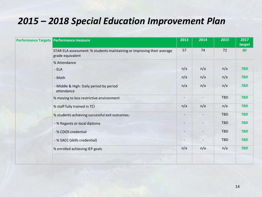#### *2015 – 2018 Special Education Improvement Plan*

| Performance Targets Performance measure                                                    | 2013                     | 2014           | 2015       | 2017<br>target |
|--------------------------------------------------------------------------------------------|--------------------------|----------------|------------|----------------|
| STAR ELA assessment: % students maintaining or improving their average<br>grade equivalent | 57                       | 74             | 72         | 80             |
| % Attendance                                                                               |                          |                |            |                |
| $-ELA$                                                                                     | n/a                      | n/a            | n/a        | <b>TBD</b>     |
| - Math                                                                                     | n/a                      | n/a            | n/a        | <b>TBD</b>     |
| - Middle & High: Daily period by period<br>attendance                                      | n/a                      | n/a            | n/a        | <b>TBD</b>     |
| % moving to less restrictive environment                                                   | $\overline{a}$           | $\overline{a}$ | <b>TBD</b> | <b>TBD</b>     |
| % staff fully trained in TCI                                                               | n/a                      | n/a            | n/a        | <b>TBD</b>     |
| % students achieving successful exit outcomes:                                             | $\overline{\phantom{a}}$ |                | TBD        | <b>TBD</b>     |
| - % Regents or local diploma                                                               | $\overline{\phantom{a}}$ |                | <b>TBD</b> | <b>TBD</b>     |
| - % CDOS credential                                                                        |                          |                | <b>TBD</b> | <b>TBD</b>     |
| - % SACC (skills credential)                                                               |                          |                | TBD        | <b>TBD</b>     |
| % enrolled achieving IEP goals                                                             | n/a                      | n/a            | n/a        | <b>TBD</b>     |
|                                                                                            |                          |                |            |                |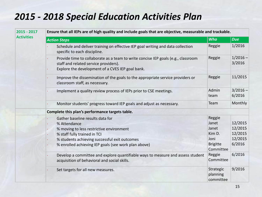## *2015 - 2018 Special Education Activities Plan*

| $2015 - 2017$     | Ensure that all IEPs are of high quality and include goals that are objective, measurable and trackable.                                                                       |                                      |                               |  |  |  |  |  |
|-------------------|--------------------------------------------------------------------------------------------------------------------------------------------------------------------------------|--------------------------------------|-------------------------------|--|--|--|--|--|
| <b>Activities</b> | <b>Action Steps</b>                                                                                                                                                            | <b>Who</b>                           | <b>Due</b>                    |  |  |  |  |  |
|                   | Schedule and deliver training on effective IEP goal writing and data collection<br>specific to each discipline.                                                                | Reggie                               | 1/2016                        |  |  |  |  |  |
|                   | Provide time to collaborate as a team to write concise IEP goals (e.g., classroom<br>staff and related service providers).<br>Explore the development of a CVES IEP goal bank. | Reggie                               | $1/2016 -$<br>3/2016          |  |  |  |  |  |
|                   | Improve the dissemination of the goals to the appropriate service providers or<br>classroom staff, as necessary.                                                               | Reggie                               | 11/2015                       |  |  |  |  |  |
|                   | Implement a quality review process of IEPs prior to CSE meetings.                                                                                                              | Admin<br>team                        | $3/2016 -$<br>6/2016          |  |  |  |  |  |
|                   | Monitor students' progress toward IEP goals and adjust as necessary.                                                                                                           | Team                                 | Monthly                       |  |  |  |  |  |
|                   | Complete this plan's performance targets table.                                                                                                                                |                                      |                               |  |  |  |  |  |
|                   | Gather baseline results data for<br>% Attendance<br>% moving to less restrictive environment<br>% staff fully trained in TCI                                                   | Reggie<br>Janet<br>Janet<br>Kim D.   | 12/2015<br>12/2015<br>12/2015 |  |  |  |  |  |
|                   | % students achieving successful exit outcomes<br>% enrolled achieving IEP goals (see work plan above)                                                                          | Joni<br><b>Brigitte</b><br>Committee | 12/2015<br>6/2016             |  |  |  |  |  |
|                   | Develop a committee and explore quantifiable ways to measure and assess student<br>acquisition of behavioral and social skills.                                                | Reggie<br>Committee                  | 6/2016                        |  |  |  |  |  |
|                   | Set targets for all new measures.                                                                                                                                              | Strategic<br>planning<br>committee   | 9/2016                        |  |  |  |  |  |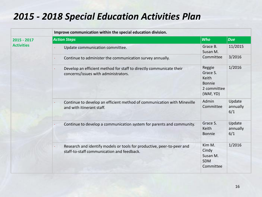## *2015 - 2018 Special Education Activities Plan*

|                   | Improve communication within the special education division.                                                             |                                                                   |                           |
|-------------------|--------------------------------------------------------------------------------------------------------------------------|-------------------------------------------------------------------|---------------------------|
| 2015 - 2017       | <b>Action Steps</b>                                                                                                      | <b>Who</b>                                                        | <b>Due</b>                |
| <b>Activities</b> | Update communication committee.                                                                                          | Grace B.<br>Susan M.                                              | 11/2015                   |
|                   | Continue to administer the communication survey annually.                                                                | Committee                                                         | 3/2016                    |
|                   | Develop an efficient method for staff to directly communicate their<br>$\bullet$<br>concerns/issues with administrators. | Reggie<br>Grace S.<br>Keith<br>Bonnie<br>2 committee<br>(WAF, YD) | 1/2016                    |
|                   | Continue to develop an efficient method of communication with Mineville<br>and with itinerant staff.                     | Admin<br>Committee                                                | Update<br>annually<br>6/1 |
|                   | Continue to develop a communication system for parents and community.                                                    | Grace S.<br>Keith<br><b>Bonnie</b>                                | Update<br>annually<br>6/1 |
|                   | Research and identify models or tools for productive, peer-to-peer and<br>staff-to-staff communication and feedback.     | Kim M.<br>Cindy<br>Susan M.<br><b>SDM</b><br>Committee            | 1/2016                    |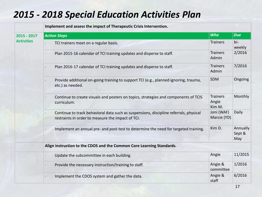#### *2015 - 2018 Special Education Activities Plan*

|                                    | Implement and assess the impact of Therapeutic Crisis Intervention.                                                                        |                                    |                           |
|------------------------------------|--------------------------------------------------------------------------------------------------------------------------------------------|------------------------------------|---------------------------|
| $2015 - 2017$<br><b>Activities</b> | <b>Action Steps</b>                                                                                                                        | <b>Who</b>                         | <b>Due</b>                |
|                                    | TCI trainers meet on a regular basis.                                                                                                      | <b>Trainers</b>                    | bi-<br>weekly             |
|                                    | Plan 2015-16 calendar of TCI training updates and disperse to staff.                                                                       | <b>Trainers</b><br>Admin           | 2/2016                    |
|                                    | Plan 2016-17 calendar of TCI training updates and disperse to staff.                                                                       | <b>Trainers</b><br>Admin           | 7/2016                    |
|                                    | Provide additional on-going training to support TCI (e.g., planned ignoring, trauma,<br>etc.) as needed.                                   | SDM                                | Ongoing                   |
|                                    | Continue to create visuals and posters on topics, strategies and components of TCIS<br>curriculum.                                         | <b>Trainers</b><br>Angie<br>Kim M. | Monthly                   |
|                                    | Continue to track behavioral data such as suspensions, discipline referrals, physical<br>restraints in order to measure the impact of TCI. | Joni (WAF)<br>Marcie (YD)          | Daily                     |
|                                    | Implement an annual pre- and post-test to determine the need for targeted training.                                                        | Kim D.                             | Annually<br>Sept &<br>May |
|                                    | Align instruction to the CDOS and the Common Core Learning Standards.                                                                      |                                    |                           |
|                                    | Update the subcommittee in each building.                                                                                                  | Angie                              | 11/2015                   |
|                                    | Provide the necessary instruction/training to staff.                                                                                       | Angie &<br>committee               | 1/2016                    |
|                                    | Implement the CDOS system and gather the data.                                                                                             | Angie &<br>staff                   | 6/2016                    |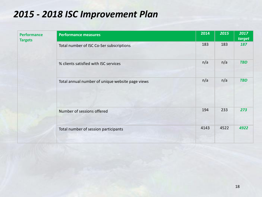#### *2015 - 2018 ISC Improvement Plan*

| <b>Performance</b><br><b>Targets</b> | <b>Performance measures</b>                      | 2014 | 2015 | 2017<br>target |
|--------------------------------------|--------------------------------------------------|------|------|----------------|
|                                      | Total number of ISC Co-Ser subscriptions         | 183  | 183  | 187            |
|                                      | % clients satisfied with ISC services            | n/a  | n/a  | <b>TBD</b>     |
|                                      | Total annual number of unique website page views | n/a  | n/a  | <b>TBD</b>     |
|                                      | Number of sessions offered                       | 194  | 233  | 273            |
|                                      | Total number of session participants             | 4143 | 4522 | 4922           |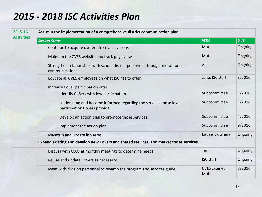## *2015 - 2018 ISC Activities Plan*

#### **2015-16 Activities**

**Assist in the implementation of a comprehensive district communication plan.**

| <b>Action Steps</b>                                                                               | <b>Who</b>                  | <b>Due</b> |
|---------------------------------------------------------------------------------------------------|-----------------------------|------------|
| Continue to acquire content from all divisions.                                                   | Matt                        | Ongoing    |
| Maintain the CVES website and track page views.                                                   | Matt                        | Ongoing    |
| Strengthen relationships with school district personnel through one-on-one<br>communications.     | All                         | Ongoing    |
| Educate all CVES employees on what ISC has to offer:                                              | Jane, ISC staff             | 3/2016     |
| Increase CoSer participation rates:                                                               |                             |            |
| Identify CoSers with low participation.                                                           | Subcommittee                | 1/2016     |
| Understand and become informed regarding the services those low-<br>participation CoSers provide. | Subcommittee                | 1/2016     |
| Develop an action plan to promote those services.                                                 | Subcommittee                | 4/2016     |
| Implement the action plan.                                                                        | Subcommittee                | 9/2016     |
| Maintain and update list-servs.                                                                   | List serv owners            | Ongoing    |
| Expand existing and develop new CoSers and shared services, and market those services.            |                             |            |
| Discuss with CSOs at monthly meetings to determine needs.                                         | Teri                        | Ongoing    |
| Revise and update CoSers as necessary.                                                            | <b>ISC staff</b>            | Ongoing    |
| Meet with division personnel to revamp the program and services guide.                            | <b>CVES</b> cabinet<br>Matt | 8/2016     |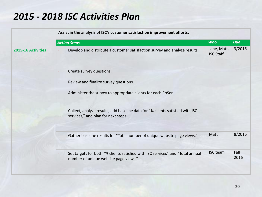#### *2015 - 2018 ISC Activities Plan*

|                    | Assist in the analysis of ISC's customer satisfaction improvement efforts.                                                           |                                 |              |
|--------------------|--------------------------------------------------------------------------------------------------------------------------------------|---------------------------------|--------------|
|                    | <b>Action Steps</b>                                                                                                                  | <b>Who</b>                      | <b>Due</b>   |
| 2015-16 Activities | Develop and distribute a customer satisfaction survey and analyze results:                                                           | Jane, Matt,<br><b>ISC Staff</b> | 3/2016       |
|                    | Create survey questions.                                                                                                             |                                 |              |
|                    | Review and finalize survey questions.<br>$\bullet$                                                                                   |                                 |              |
|                    | Administer the survey to appropriate clients for each CoSer.                                                                         |                                 |              |
|                    | Collect, analyze results, add baseline data for "% clients satisfied with ISC<br>services," and plan for next steps.                 |                                 |              |
|                    | Gather baseline results for "Total number of unique website page views."                                                             | Matt                            | 8/2016       |
|                    | Set targets for both "% clients satisfied with ISC services" and "Total annual<br>$\bullet$<br>number of unique website page views." | <b>ISC</b> team                 | Fall<br>2016 |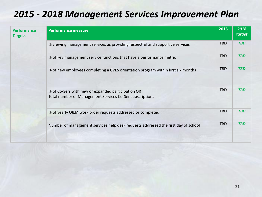## *2015 - 2018 Management Services Improvement Plan*

| <b>Performance</b><br><b>Targets</b> | <b>Performance measure</b>                                                                                     | 2016       | 2018<br>target |
|--------------------------------------|----------------------------------------------------------------------------------------------------------------|------------|----------------|
|                                      | % viewing management services as providing respectful and supportive services                                  | <b>TBD</b> | <b>TBD</b>     |
|                                      | % of key management service functions that have a performance metric                                           | <b>TBD</b> | <b>TBD</b>     |
|                                      | % of new employees completing a CVES orientation program within first six months                               | <b>TBD</b> | <b>TBD</b>     |
|                                      | % of Co-Sers with new or expanded participation OR<br>Total number of Management Services Co-Ser subscriptions | <b>TBD</b> | <b>TBD</b>     |
|                                      | % of yearly O&M work order requests addressed or completed                                                     | <b>TBD</b> | <b>TBD</b>     |
|                                      | Number of management services help desk requests addressed the first day of school                             | <b>TBD</b> | <b>TBD</b>     |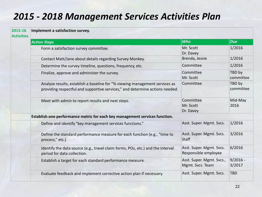## *2015 - 2018 Management Services Activities Plan*

#### **2015-16 Implement a satisfaction survey.**

|  |  | <b>Activities</b> |
|--|--|-------------------|
|  |  |                   |
|  |  |                   |

| <b>Action Steps</b>                                                                                                                                         | <b>Who</b>                                       | <b>Due</b>           |
|-------------------------------------------------------------------------------------------------------------------------------------------------------------|--------------------------------------------------|----------------------|
| Form a satisfaction survey committee.                                                                                                                       | Mr. Scott<br>Dr. Davey                           | 1/2016               |
| Contact Matt/Jane about details regarding Survey Monkey.                                                                                                    | Brenda, Jessie                                   | 1/2016               |
| Determine the survey timeline, questions, frequency, etc.                                                                                                   | Committee                                        | 1/2016               |
| Finalize, approve and administer the survey.                                                                                                                | Committee<br>Mr. Scott                           | TBD by<br>committee  |
| Analyze results, establish a baseline for "% viewing management services as<br>providing respectful and supportive services," and determine actions needed. | Committee                                        | TBD by<br>committee  |
| Meet with admin to report results and next steps.                                                                                                           | Committee<br>Mr. Scott<br>Dr. Davey              | Mid-May<br>2016      |
| Establish one performance metric for each key management services function.                                                                                 |                                                  |                      |
| Define and identify "key management services functions."                                                                                                    | Asst. Super. Mgmt. Svcs.                         | 1/2016               |
| Define the standard performance measure for each function (e.g., "time to<br>process," etc.)                                                                | Asst. Super. Mgmt. Svcs.<br><b>Staff</b>         | 3/2016               |
| Identify the data source (e.g., travel claim forms, POs, etc.) and the interval<br>period for data collection.                                              | Asst. Super. Mgmt. Svcs.<br>Responsible employee | 6/2016               |
| Establish a target for each standard performance measure.                                                                                                   | Asst. Super. Mgmt. Svcs.,<br>Mgmt. Svcs. Team    | $9/2016 -$<br>3/2017 |
| Evaluate feedback and implement corrective action plan if necessary.                                                                                        | Asst. Super. Mgmt. Svcs.                         | <b>TBD</b>           |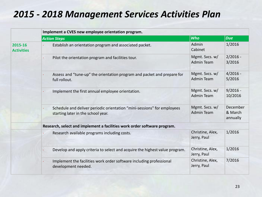#### *2015 - 2018 Management Services Activities Plan*

|                              | Implement a CVES new employee orientation program.                                                            |                                     |                                 |  |
|------------------------------|---------------------------------------------------------------------------------------------------------------|-------------------------------------|---------------------------------|--|
|                              | <b>Action Steps</b>                                                                                           | <b>Who</b>                          | <b>Due</b>                      |  |
| 2015-16<br><b>Activities</b> | Establish an orientation program and associated packet.                                                       | Admin<br>Cabinet                    | 1/2016                          |  |
|                              | Pilot the orientation program and facilities tour.                                                            | Mgmt. Svcs. w/<br><b>Admin Team</b> | $2/2016 -$<br>3/2016            |  |
|                              | Assess and "tune-up" the orientation program and packet and prepare for<br>full rollout.                      | Mgmt. Svcs. w/<br><b>Admin Team</b> | $4/2016 -$<br>5/2016            |  |
|                              | Implement the first annual employee orientation.                                                              | Mgmt. Svcs. w/<br><b>Admin Team</b> | $9/2016 -$<br>10/2016           |  |
|                              | Schedule and deliver periodic orientation "mini-sessions" for employees<br>starting later in the school year. | Mgmt. Svcs. w/<br><b>Admin Team</b> | December<br>& March<br>annually |  |
|                              | Research, select and implement a facilities work order software program.                                      |                                     |                                 |  |
|                              | Research available programs including costs.                                                                  | Christine, Alex,<br>Jerry, Paul     | 1/2016                          |  |
|                              | Develop and apply criteria to select and acquire the highest value program.                                   | Christine, Alex,<br>Jerry, Paul     | 1/2016                          |  |
|                              | Implement the facilities work order software including professional<br>development needed.                    | Christine, Alex,<br>Jerry, Paul     | 7/2016                          |  |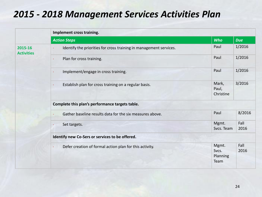#### *2015 - 2018 Management Services Activities Plan*

|                              | Implement cross training.                                          |                                    |              |  |  |  |
|------------------------------|--------------------------------------------------------------------|------------------------------------|--------------|--|--|--|
|                              | <b>Action Steps</b>                                                | <b>Who</b>                         | <b>Due</b>   |  |  |  |
| 2015-16<br><b>Activities</b> | Identify the priorities for cross training in management services. | Paul                               | 1/2016       |  |  |  |
|                              | Plan for cross training.<br>٠                                      | Paul                               | 1/2016       |  |  |  |
|                              | Implement/engage in cross training.                                | Paul                               | 1/2016       |  |  |  |
|                              | Establish plan for cross training on a regular basis.              | Mark,<br>Paul,<br>Christine        | 3/2016       |  |  |  |
|                              | Complete this plan's performance targets table.                    |                                    |              |  |  |  |
|                              | Gather baseline results data for the six measures above.           | Paul                               | 8/2016       |  |  |  |
|                              | Set targets.                                                       | Mgmt.<br>Svcs. Team                | Fall<br>2016 |  |  |  |
|                              | Identify new Co-Sers or services to be offered.                    |                                    |              |  |  |  |
|                              | Defer creation of formal action plan for this activity.            | Mgmt.<br>Svcs.<br>Planning<br>Team | Fall<br>2016 |  |  |  |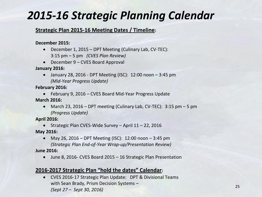## *2015-16 Strategic Planning Calendar*

#### **Strategic Plan 2015-16 Meeting Dates / Timeline:**

#### **December 2015:**

- December 1, 2015 DPT Meeting (Culinary Lab, CV-TEC): 3:15 pm – 5 pm *(CVES Plan Review)*
- December 9 CVES Board Approval

**January 2016:**

 January 28, 2016 - DPT Meeting (ISC): 12:00 noon – 3:45 pm *(Mid-Year Progress Update)*

**February 2016:**

 February 9, 2016 – CVES Board Mid-Year Progress Update **March 2016:**

• March 23, 2016 – DPT meeting (Culinary Lab, CV-TEC):  $3:15$  pm – 5 pm *(Progress Update)*

**April 2016:** 

 Strategic Plan CVES-Wide Survey – April 11 – 22, 2016 **May 2016:**

- May 26, 2016 DPT Meeting (ISC): 12:00 noon 3:45 pm *(Strategic Plan End-of-Year Wrap-up/Presentation Review)* **June 2016:**
	- June 8, 2016- CVES Board 2015 16 Strategic Plan Presentation

#### **2016-2017 Strategic Plan "hold the dates" Calendar:**

 CVES 2016-17 Strategic Plan Update: DPT & Divisional Teams with Sean Brady, Prism Decision Systems – *(Sept 27 – Sept 30, 2016)*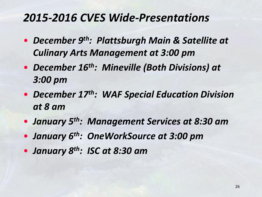## *2015-2016 CVES Wide-Presentations*

- *December 9 th: Plattsburgh Main & Satellite at Culinary Arts Management at 3:00 pm*
- *December 16th: Mineville (Both Divisions) at 3:00 pm*
- *December 17th: WAF Special Education Division at 8 am*
- *January 5th: Management Services at 8:30 am*
- *January 6th: OneWorkSource at 3:00 pm*
- *January 8th: ISC at 8:30 am*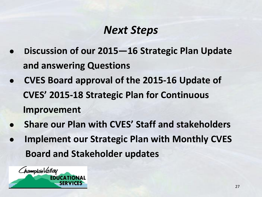## *Next Steps*

- **● Discussion of our 2015—16 Strategic Plan Update and answering Questions**
- **● CVES Board approval of the 2015-16 Update of CVES' 2015-18 Strategic Plan for Continuous Improvement**
- **● Share our Plan with CVES' Staff and stakeholders**
- **Implement our Strategic Plan with Monthly CVES Board and Stakeholder updates**